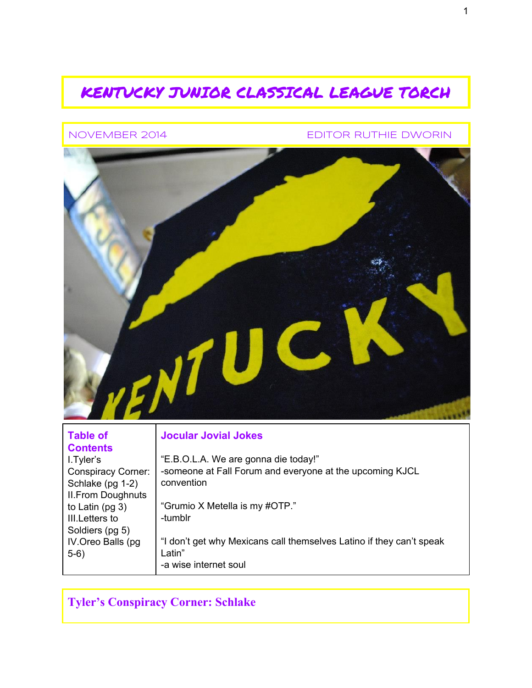## KENTUCKY JUNIOR CLASSICAL LEAGUE TORCH

NOVEMBER 2014 EDITOR RUTHIE DWORIN



### **Table of Contents** I.Tyler's

 $5-6)$ 

Schlake (pg  $1-2$ ) II.From Doughnuts to Latin (pg 3) III.Letters to Soldiers (pg 5) IV.Oreo Balls (pg

### Conspiracy Corner: "E.B.O.L.A. We are gonna die today!" someone at Fall Forum and everyone at the upcoming KJCL convention

"Grumio X Metella is my #OTP." tumblr

**Jocular Jovial Jokes**

"I don't get why Mexicans call themselves Latino if they can't speak Latin" a wise internet soul

**Tyler's Conspiracy Corner: Schlake**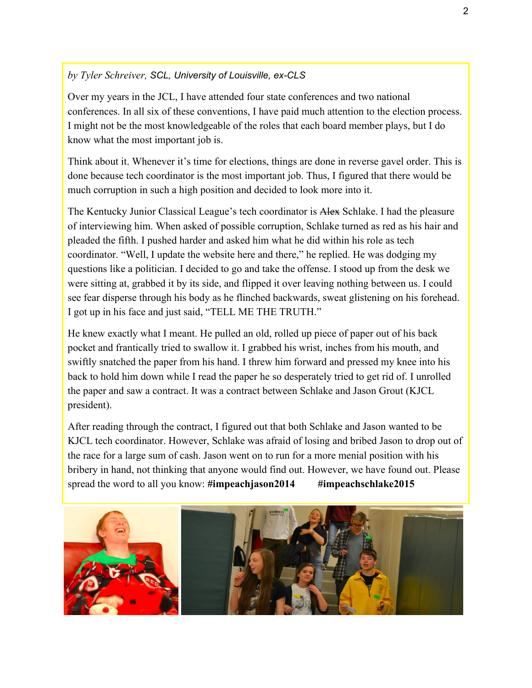### *by Tyler Schreiver, SCL, University of Louisville, ex-CLS*

Over my years in the JCL, I have attended four state conferences and two national conferences. In all six of these conventions, I have paid much attention to the election process. I might not be the most knowledgeable of the roles that each board member plays, but I do know what the most important job is.

Think about it. Whenever it's time for elections, things are done in reverse gavel order. This is done because tech coordinator is the most important job. Thus, I figured that there would be much corruption in such a high position and decided to look more into it.

The Kentucky Junior Classical League's tech coordinator is Alex Schlake. I had the pleasure of interviewing him. When asked of possible corruption, Schlake turned as red as his hair and pleaded the fifth. I pushed harder and asked him what he did within his role as tech coordinator. "Well, I update the website here and there," he replied. He was dodging my questions like a politician. I decided to go and take the offense. I stood up from the desk we were sitting at, grabbed it by its side, and flipped it over leaving nothing between us. I could see fear disperse through his body as he flinched backwards, sweat glistening on his forehead. I got up in his face and just said, "TELL ME THE TRUTH."

He knew exactly what I meant. He pulled an old, rolled up piece of paper out of his back pocket and frantically tried to swallow it. I grabbed his wrist, inches from his mouth, and swiftly snatched the paper from his hand. I threw him forward and pressed my knee into his back to hold him down while I read the paper he so desperately tried to get rid of. I unrolled the paper and saw a contract. It was a contract between Schlake and Jason Grout (KJCL president).

After reading through the contract, I figured out that both Schlake and Jason wanted to be KJCL tech coordinator. However, Schlake was afraid of losing and bribed Jason to drop out of the race for a large sum of cash. Jason went on to run for a more menial position with his bribery in hand, not thinking that anyone would find out. However, we have found out. Please spread the word to all you know: **#impeachjason2014 #impeachschlake2015**

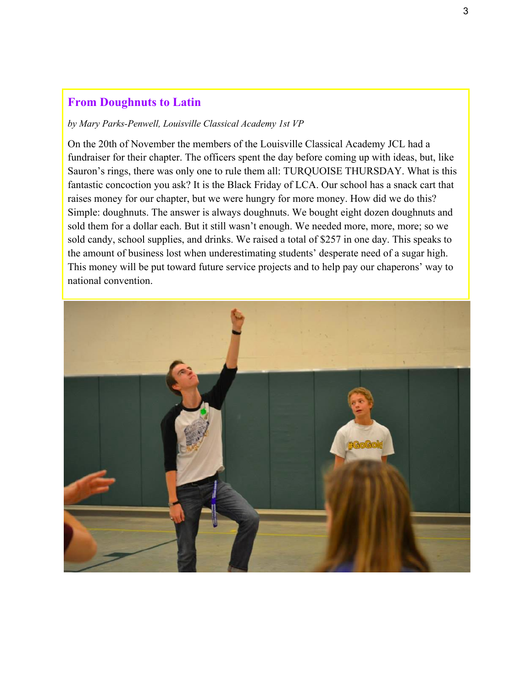## **From Doughnuts to Latin**

#### *by Mary Parks-Penwell, Louisville Classical Academy 1st VP*

On the 20th of November the members of the Louisville Classical Academy JCL had a fundraiser for their chapter. The officers spent the day before coming up with ideas, but, like Sauron's rings, there was only one to rule them all: TURQUOISE THURSDAY. What is this fantastic concoction you ask? It is the Black Friday of LCA. Our school has a snack cart that raises money for our chapter, but we were hungry for more money. How did we do this? Simple: doughnuts. The answer is always doughnuts. We bought eight dozen doughnuts and sold them for a dollar each. But it still wasn't enough. We needed more, more, more; so we sold candy, school supplies, and drinks. We raised a total of \$257 in one day. This speaks to the amount of business lost when underestimating students' desperate need of a sugar high. This money will be put toward future service projects and to help pay our chaperons' way to national convention.

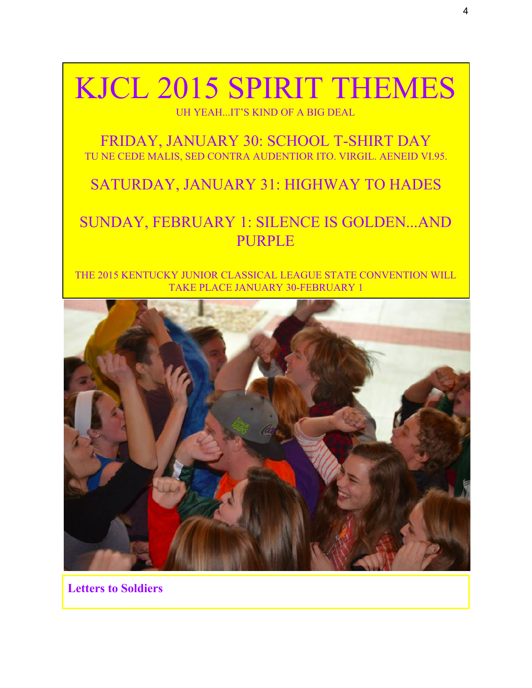# KJCL 2015 SPIRIT THEMES

UH YEAH...IT'S KIND OF A BIG DEAL

FRIDAY, JANUARY 30: SCHOOL T-SHIRT DAY TU NE CEDE MALIS, SED CONTRA AUDENTIOR ITO. VIRGIL. AENEID VI.95.

## SATURDAY, JANUARY 31: HIGHWAY TO HADES

# SUNDAY, FEBRUARY 1: SILENCE IS GOLDEN...AND PURPLE

THE 2015 KENTUCKY JUNIOR CLASSICAL LEAGUE STATE CONVENTION WILL TAKE PLACE JANUARY 30-FEBRUARY 1



**Letters to Soldiers**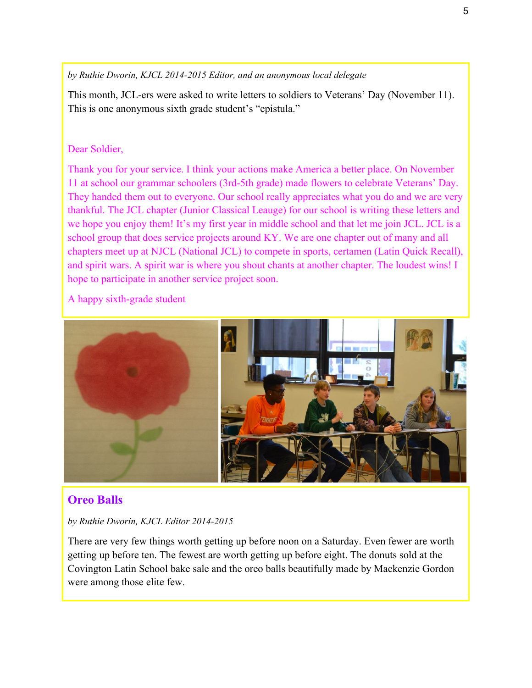*by Ruthie Dworin, KJCL 20142015 Editor, and an anonymous local delegate*

This month, JCL-ers were asked to write letters to soldiers to Veterans' Day (November 11). This is one anonymous sixth grade student's "epistula."

### Dear Soldier,

Thank you for your service. I think your actions make America a better place. On November 11 at school our grammar schoolers (3rd5th grade) made flowers to celebrate Veterans' Day. They handed them out to everyone. Our school really appreciates what you do and we are very thankful. The JCL chapter (Junior Classical Leauge) for our school is writing these letters and we hope you enjoy them! It's my first year in middle school and that let me join JCL. JCL is a school group that does service projects around KY. We are one chapter out of many and all chapters meet up at NJCL (National JCL) to compete in sports, certamen (Latin Quick Recall), and spirit wars. A spirit war is where you shout chants at another chapter. The loudest wins! I hope to participate in another service project soon.

A happy sixth-grade student



### **Oreo Balls**

### *by Ruthie Dworin, KJCL Editor 20142015*

There are very few things worth getting up before noon on a Saturday. Even fewer are worth getting up before ten. The fewest are worth getting up before eight. The donuts sold at the Covington Latin School bake sale and the oreo balls beautifully made by Mackenzie Gordon were among those elite few.